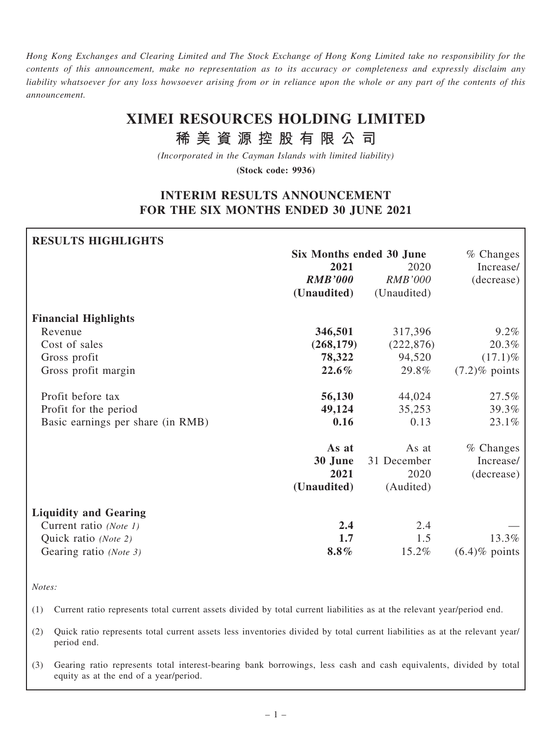Hong Kong Exchanges and Clearing Limited and The Stock Exchange of Hong Kong Limited take no responsibility for the contents of this announcement, make no representation as to its accuracy or completeness and expressly disclaim any liability whatsoever for any loss howsoever arising from or in reliance upon the whole or any part of the contents of this announcement.

# XIMEI RESOURCES HOLDING LIMITED

稀 美 資 源 控 股 有 限 公 司

(Incorporated in the Cayman Islands with limited liability)

(Stock code: 9936)

## INTERIM RESULTS ANNOUNCEMENT FOR THE SIX MONTHS ENDED 30 JUNE 2021

| <b>RESULTS HIGHLIGHTS</b>         |                          |                |                  |
|-----------------------------------|--------------------------|----------------|------------------|
|                                   | Six Months ended 30 June |                | $%$ Changes      |
|                                   | 2021                     | 2020           | Increase/        |
|                                   | <b>RMB'000</b>           | <b>RMB'000</b> | (decrease)       |
|                                   | (Unaudited)              | (Unaudited)    |                  |
| <b>Financial Highlights</b>       |                          |                |                  |
| Revenue                           | 346,501                  | 317,396        | 9.2%             |
| Cost of sales                     | (268, 179)               | (222, 876)     | 20.3%            |
| Gross profit                      | 78,322                   | 94,520         | $(17.1)\%$       |
| Gross profit margin               | $22.6\%$                 | 29.8%          | $(7.2)$ % points |
| Profit before tax                 | 56,130                   | 44,024         | 27.5%            |
| Profit for the period             | 49,124                   | 35,253         | 39.3%            |
| Basic earnings per share (in RMB) | 0.16                     | 0.13           | 23.1%            |
|                                   | As at                    | As at          | $%$ Changes      |
|                                   | 30 June                  | 31 December    | Increase/        |
|                                   | 2021                     | 2020           | (decrease)       |
|                                   | (Unaudited)              | (Audited)      |                  |
| <b>Liquidity and Gearing</b>      |                          |                |                  |
| Current ratio (Note 1)            | 2.4                      | 2.4            |                  |
| Quick ratio (Note 2)              | 1.7                      | 1.5            | 13.3%            |
| Gearing ratio (Note 3)            | $8.8\%$                  | 15.2%          | $(6.4)$ % points |

Notes:

(1) Current ratio represents total current assets divided by total current liabilities as at the relevant year/period end.

(2) Quick ratio represents total current assets less inventories divided by total current liabilities as at the relevant year/ period end.

(3) Gearing ratio represents total interest-bearing bank borrowings, less cash and cash equivalents, divided by total equity as at the end of a year/period.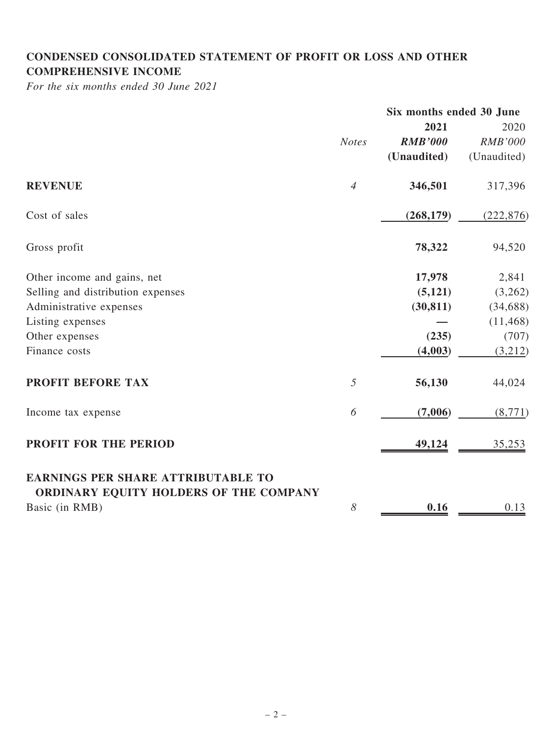## CONDENSED CONSOLIDATED STATEMENT OF PROFIT OR LOSS AND OTHER COMPREHENSIVE INCOME

For the six months ended 30 June 2021

|                                                                                     |                | Six months ended 30 June |                |
|-------------------------------------------------------------------------------------|----------------|--------------------------|----------------|
|                                                                                     |                | 2021                     | 2020           |
|                                                                                     | <b>Notes</b>   | <b>RMB'000</b>           | <b>RMB'000</b> |
|                                                                                     |                | (Unaudited)              | (Unaudited)    |
| <b>REVENUE</b>                                                                      | $\overline{4}$ | 346,501                  | 317,396        |
| Cost of sales                                                                       |                | (268, 179)               | (222, 876)     |
| Gross profit                                                                        |                | 78,322                   | 94,520         |
| Other income and gains, net                                                         |                | 17,978                   | 2,841          |
| Selling and distribution expenses                                                   |                | (5, 121)                 | (3,262)        |
| Administrative expenses                                                             |                | (30, 811)                | (34, 688)      |
| Listing expenses                                                                    |                |                          | (11, 468)      |
| Other expenses                                                                      |                | (235)                    | (707)          |
| Finance costs                                                                       |                | (4,003)                  | (3,212)        |
| PROFIT BEFORE TAX                                                                   | 5              | 56,130                   | 44,024         |
| Income tax expense                                                                  | 6              | (7,006)                  | (8,771)        |
| <b>PROFIT FOR THE PERIOD</b>                                                        |                | 49,124                   | 35,253         |
| <b>EARNINGS PER SHARE ATTRIBUTABLE TO</b><br>ORDINARY EQUITY HOLDERS OF THE COMPANY |                |                          |                |
| Basic (in RMB)                                                                      | 8              | 0.16                     | 0.13           |
|                                                                                     |                |                          |                |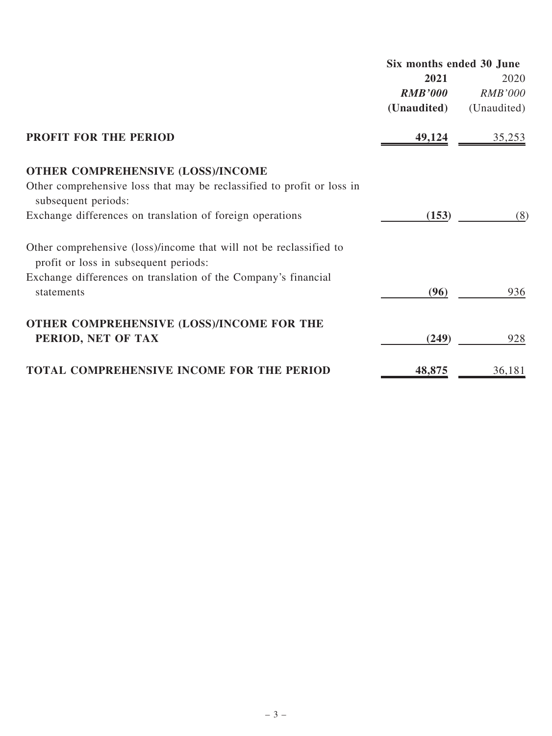|                                                                                                             | Six months ended 30 June |                |
|-------------------------------------------------------------------------------------------------------------|--------------------------|----------------|
|                                                                                                             | 2021                     | 2020           |
|                                                                                                             | <b>RMB'000</b>           | <i>RMB'000</i> |
|                                                                                                             | (Unaudited)              | (Unaudited)    |
| <b>PROFIT FOR THE PERIOD</b>                                                                                | 49,124                   | 35,253         |
| <b>OTHER COMPREHENSIVE (LOSS)/INCOME</b>                                                                    |                          |                |
| Other comprehensive loss that may be reclassified to profit or loss in<br>subsequent periods:               |                          |                |
| Exchange differences on translation of foreign operations                                                   | (153)                    | (8)            |
| Other comprehensive (loss)/income that will not be reclassified to<br>profit or loss in subsequent periods: |                          |                |
| Exchange differences on translation of the Company's financial<br>statements                                | (96)                     | 936            |
| OTHER COMPREHENSIVE (LOSS)/INCOME FOR THE<br>PERIOD, NET OF TAX                                             | (249)                    | 928            |
| TOTAL COMPREHENSIVE INCOME FOR THE PERIOD                                                                   | 48,875                   | 36,181         |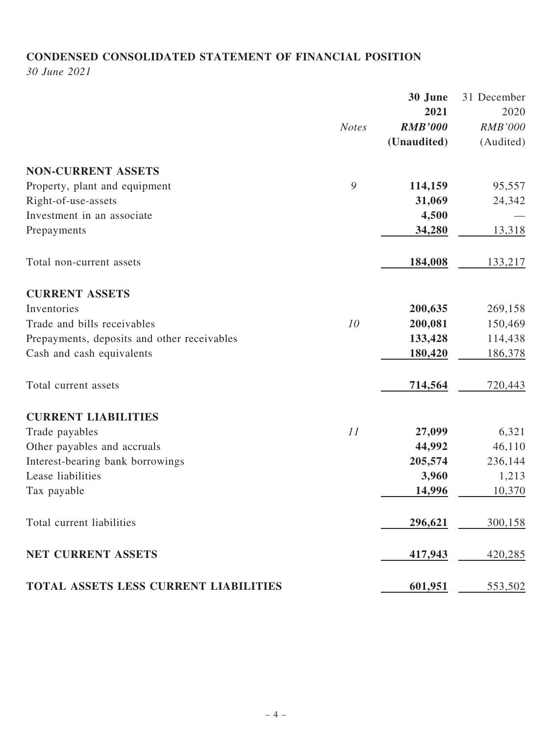# CONDENSED CONSOLIDATED STATEMENT OF FINANCIAL POSITION

30 June 2021

|                                             |              | 30 June        | 31 December    |
|---------------------------------------------|--------------|----------------|----------------|
|                                             |              | 2021           | 2020           |
|                                             | <b>Notes</b> | <b>RMB'000</b> | <b>RMB'000</b> |
|                                             |              | (Unaudited)    | (Audited)      |
| <b>NON-CURRENT ASSETS</b>                   |              |                |                |
| Property, plant and equipment               | 9            | 114,159        | 95,557         |
| Right-of-use-assets                         |              | 31,069         | 24,342         |
| Investment in an associate                  |              | 4,500          |                |
| Prepayments                                 |              | 34,280         | 13,318         |
| Total non-current assets                    |              | 184,008        | 133,217        |
| <b>CURRENT ASSETS</b>                       |              |                |                |
| Inventories                                 |              | 200,635        | 269,158        |
| Trade and bills receivables                 | 10           | 200,081        | 150,469        |
| Prepayments, deposits and other receivables |              | 133,428        | 114,438        |
| Cash and cash equivalents                   |              | 180,420        | 186,378        |
| Total current assets                        |              | 714,564        | 720,443        |
| <b>CURRENT LIABILITIES</b>                  |              |                |                |
| Trade payables                              | 11           | 27,099         | 6,321          |
| Other payables and accruals                 |              | 44,992         | 46,110         |
| Interest-bearing bank borrowings            |              | 205,574        | 236,144        |
| Lease liabilities                           |              | 3,960          | 1,213          |
| Tax payable                                 |              | 14,996         | 10,370         |
| Total current liabilities                   |              | 296,621        | 300,158        |
| NET CURRENT ASSETS                          |              | 417,943        | 420,285        |
| TOTAL ASSETS LESS CURRENT LIABILITIES       |              | 601,951        | 553,502        |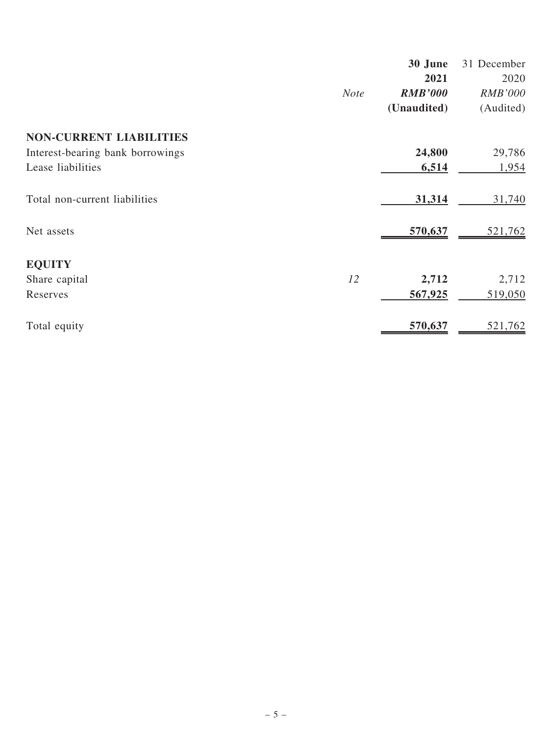|                                  |             | 30 June        | 31 December    |
|----------------------------------|-------------|----------------|----------------|
|                                  |             | 2021           | 2020           |
|                                  | <b>Note</b> | <b>RMB'000</b> | <b>RMB'000</b> |
|                                  |             | (Unaudited)    | (Audited)      |
| <b>NON-CURRENT LIABILITIES</b>   |             |                |                |
| Interest-bearing bank borrowings |             | 24,800         | 29,786         |
| Lease liabilities                |             | 6,514          | 1,954          |
| Total non-current liabilities    |             | 31,314         | 31,740         |
| Net assets                       |             | 570,637        | 521,762        |
| <b>EQUITY</b>                    |             |                |                |
| Share capital                    | 12          | 2,712          | 2,712          |
| Reserves                         |             | 567,925        | 519,050        |
| Total equity                     |             | 570,637        | 521,762        |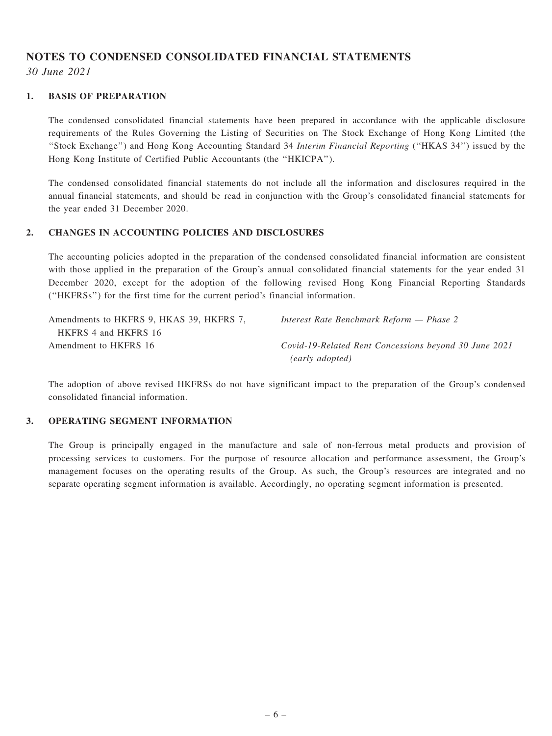# NOTES TO CONDENSED CONSOLIDATED FINANCIAL STATEMENTS

30 June 2021

#### 1. BASIS OF PREPARATION

The condensed consolidated financial statements have been prepared in accordance with the applicable disclosure requirements of the Rules Governing the Listing of Securities on The Stock Exchange of Hong Kong Limited (the ''Stock Exchange'') and Hong Kong Accounting Standard 34 Interim Financial Reporting (''HKAS 34'') issued by the Hong Kong Institute of Certified Public Accountants (the ''HKICPA'').

The condensed consolidated financial statements do not include all the information and disclosures required in the annual financial statements, and should be read in conjunction with the Group's consolidated financial statements for the year ended 31 December 2020.

#### 2. CHANGES IN ACCOUNTING POLICIES AND DISCLOSURES

The accounting policies adopted in the preparation of the condensed consolidated financial information are consistent with those applied in the preparation of the Group's annual consolidated financial statements for the year ended 31 December 2020, except for the adoption of the following revised Hong Kong Financial Reporting Standards (''HKFRSs'') for the first time for the current period's financial information.

| Amendments to HKFRS 9, HKAS 39, HKFRS 7, | Interest Rate Benchmark Reform — Phase 2              |
|------------------------------------------|-------------------------------------------------------|
| HKFRS 4 and HKFRS 16                     |                                                       |
| Amendment to HKFRS 16                    | Covid-19-Related Rent Concessions beyond 30 June 2021 |
|                                          | (early adopted)                                       |

The adoption of above revised HKFRSs do not have significant impact to the preparation of the Group's condensed consolidated financial information.

#### 3. OPERATING SEGMENT INFORMATION

The Group is principally engaged in the manufacture and sale of non-ferrous metal products and provision of processing services to customers. For the purpose of resource allocation and performance assessment, the Group's management focuses on the operating results of the Group. As such, the Group's resources are integrated and no separate operating segment information is available. Accordingly, no operating segment information is presented.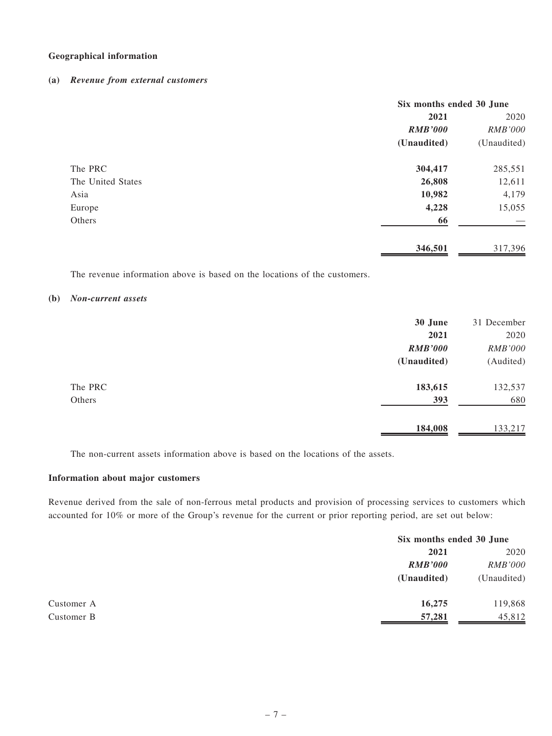#### Geographical information

#### (a) Revenue from external customers

|                   | Six months ended 30 June |                |
|-------------------|--------------------------|----------------|
|                   | 2021                     | 2020           |
|                   | <b>RMB'000</b>           | <b>RMB'000</b> |
|                   | (Unaudited)              | (Unaudited)    |
| The PRC           | 304,417                  | 285,551        |
| The United States | 26,808                   | 12,611         |
| Asia              | 10,982                   | 4,179          |
| Europe            | 4,228                    | 15,055         |
| Others            | 66                       |                |
|                   | 346,501                  | 317,396        |

The revenue information above is based on the locations of the customers.

#### (b) Non-current assets

|         | 30 June        | 31 December    |
|---------|----------------|----------------|
|         | 2021           | 2020           |
|         | <b>RMB'000</b> | <b>RMB'000</b> |
|         | (Unaudited)    | (Audited)      |
| The PRC | 183,615        | 132,537        |
| Others  | 393            | 680            |
|         | 184,008        | 133,217        |

The non-current assets information above is based on the locations of the assets.

#### Information about major customers

Revenue derived from the sale of non-ferrous metal products and provision of processing services to customers which accounted for 10% or more of the Group's revenue for the current or prior reporting period, are set out below:

|            |                | Six months ended 30 June |  |
|------------|----------------|--------------------------|--|
|            | 2021           | 2020                     |  |
|            | <b>RMB'000</b> | <b>RMB'000</b>           |  |
|            | (Unaudited)    | (Unaudited)              |  |
| Customer A | 16,275         | 119,868                  |  |
| Customer B | 57,281         | 45,812                   |  |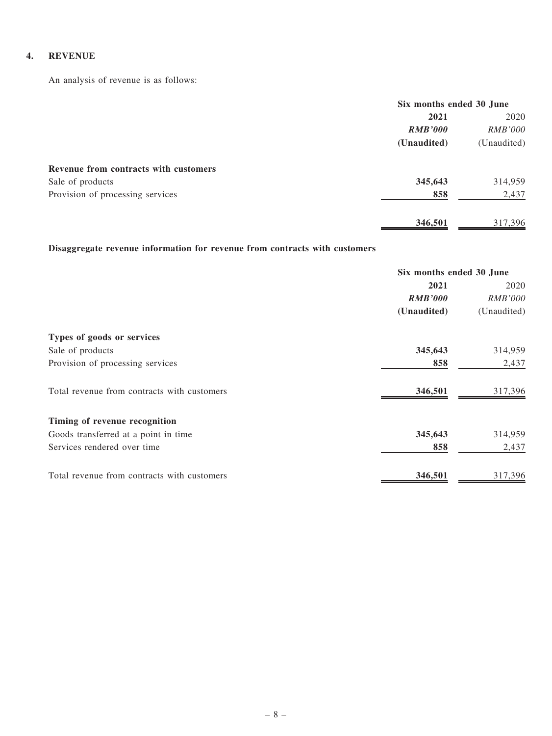#### 4. REVENUE

An analysis of revenue is as follows:

|                                       | Six months ended 30 June |                |
|---------------------------------------|--------------------------|----------------|
|                                       | 2021                     | 2020           |
|                                       | <b>RMB'000</b>           | <i>RMB'000</i> |
|                                       | (Unaudited)              | (Unaudited)    |
| Revenue from contracts with customers |                          |                |
| Sale of products                      | 345,643                  | 314,959        |
| Provision of processing services      | 858                      | 2,437          |
|                                       | 346,501                  | 317,396        |

## Disaggregate revenue information for revenue from contracts with customers

|                                             | Six months ended 30 June |                |
|---------------------------------------------|--------------------------|----------------|
|                                             | 2021                     | 2020           |
|                                             | <b>RMB'000</b>           | <i>RMB'000</i> |
|                                             | (Unaudited)              | (Unaudited)    |
| Types of goods or services                  |                          |                |
| Sale of products                            | 345,643                  | 314,959        |
| Provision of processing services            | 858                      | 2,437          |
| Total revenue from contracts with customers | 346,501                  | 317,396        |
| Timing of revenue recognition               |                          |                |
| Goods transferred at a point in time        | 345,643                  | 314,959        |
| Services rendered over time                 | 858                      | 2,437          |
| Total revenue from contracts with customers | 346,501                  | 317,396        |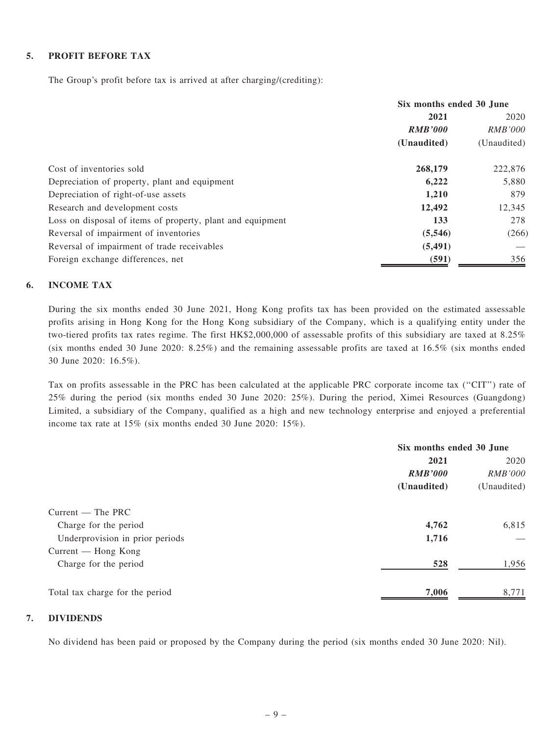#### 5. PROFIT BEFORE TAX

The Group's profit before tax is arrived at after charging/(crediting):

|                                                            | Six months ended 30 June |                |
|------------------------------------------------------------|--------------------------|----------------|
|                                                            | 2021                     | 2020           |
|                                                            | <b>RMB'000</b>           | <i>RMB'000</i> |
|                                                            | (Unaudited)              | (Unaudited)    |
| Cost of inventories sold                                   | 268,179                  | 222,876        |
| Depreciation of property, plant and equipment              | 6,222                    | 5,880          |
| Depreciation of right-of-use assets                        | 1,210                    | 879            |
| Research and development costs                             | 12,492                   | 12,345         |
| Loss on disposal of items of property, plant and equipment | 133                      | 278            |
| Reversal of impairment of inventories                      | (5,546)                  | (266)          |
| Reversal of impairment of trade receivables                | (5, 491)                 |                |
| Foreign exchange differences, net                          | (591)                    | 356            |

#### 6. INCOME TAX

During the six months ended 30 June 2021, Hong Kong profits tax has been provided on the estimated assessable profits arising in Hong Kong for the Hong Kong subsidiary of the Company, which is a qualifying entity under the two-tiered profits tax rates regime. The first HK\$2,000,000 of assessable profits of this subsidiary are taxed at 8.25% (six months ended 30 June 2020: 8.25%) and the remaining assessable profits are taxed at 16.5% (six months ended 30 June 2020: 16.5%).

Tax on profits assessable in the PRC has been calculated at the applicable PRC corporate income tax ("CIT") rate of 25% during the period (six months ended 30 June 2020: 25%). During the period, Ximei Resources (Guangdong) Limited, a subsidiary of the Company, qualified as a high and new technology enterprise and enjoyed a preferential income tax rate at 15% (six months ended 30 June 2020: 15%).

|                                 |                | Six months ended 30 June |  |
|---------------------------------|----------------|--------------------------|--|
|                                 | 2021           | 2020                     |  |
|                                 | <b>RMB'000</b> | <b>RMB'000</b>           |  |
|                                 | (Unaudited)    | (Unaudited)              |  |
| $Current$ – The PRC             |                |                          |  |
| Charge for the period           | 4,762          | 6,815                    |  |
| Underprovision in prior periods | 1,716          |                          |  |
| $Current - Hong Kong$           |                |                          |  |
| Charge for the period           | 528            | 1,956                    |  |
| Total tax charge for the period | 7,006          | 8,771                    |  |
|                                 |                |                          |  |

#### 7. DIVIDENDS

No dividend has been paid or proposed by the Company during the period (six months ended 30 June 2020: Nil).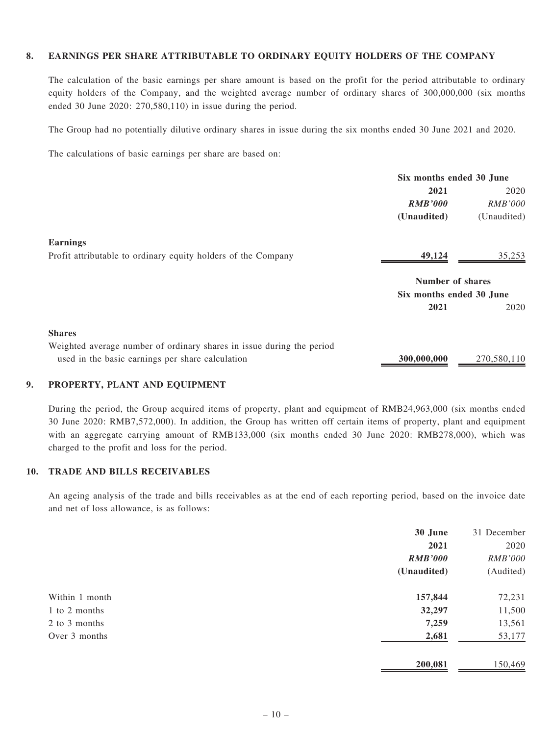#### 8. EARNINGS PER SHARE ATTRIBUTABLE TO ORDINARY EQUITY HOLDERS OF THE COMPANY

The calculation of the basic earnings per share amount is based on the profit for the period attributable to ordinary equity holders of the Company, and the weighted average number of ordinary shares of 300,000,000 (six months ended 30 June 2020: 270,580,110) in issue during the period.

The Group had no potentially dilutive ordinary shares in issue during the six months ended 30 June 2021 and 2020.

The calculations of basic earnings per share are based on:

|                                                                       | Six months ended 30 June |                |
|-----------------------------------------------------------------------|--------------------------|----------------|
|                                                                       | 2021                     | 2020           |
|                                                                       | <b>RMB'000</b>           | <i>RMB'000</i> |
|                                                                       | (Unaudited)              | (Unaudited)    |
| <b>Earnings</b>                                                       |                          |                |
| Profit attributable to ordinary equity holders of the Company         | 49,124                   | 35,253         |
|                                                                       | <b>Number of shares</b>  |                |
|                                                                       | Six months ended 30 June |                |
|                                                                       | 2021                     | 2020           |
| <b>Shares</b>                                                         |                          |                |
| Weighted average number of ordinary shares in issue during the period |                          |                |
| used in the basic earnings per share calculation                      | 300,000,000              | 270,580,110    |

#### 9. PROPERTY, PLANT AND EQUIPMENT

During the period, the Group acquired items of property, plant and equipment of RMB24,963,000 (six months ended 30 June 2020: RMB7,572,000). In addition, the Group has written off certain items of property, plant and equipment with an aggregate carrying amount of RMB133,000 (six months ended 30 June 2020: RMB278,000), which was charged to the profit and loss for the period.

#### 10. TRADE AND BILLS RECEIVABLES

An ageing analysis of the trade and bills receivables as at the end of each reporting period, based on the invoice date and net of loss allowance, is as follows:

|                | 30 June        | 31 December    |
|----------------|----------------|----------------|
|                | 2021           | 2020           |
|                | <b>RMB'000</b> | <b>RMB'000</b> |
|                | (Unaudited)    | (Audited)      |
| Within 1 month | 157,844        | 72,231         |
| 1 to 2 months  | 32,297         | 11,500         |
| 2 to 3 months  | 7,259          | 13,561         |
| Over 3 months  | 2,681          | 53,177         |
|                | 200,081        | 150,469        |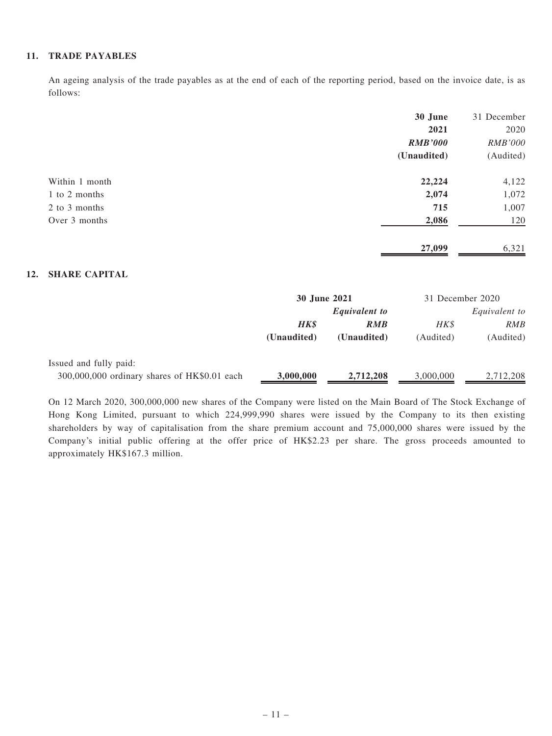#### 11. TRADE PAYABLES

An ageing analysis of the trade payables as at the end of each of the reporting period, based on the invoice date, is as follows:

|                | 30 June        | 31 December    |
|----------------|----------------|----------------|
|                | 2021           | 2020           |
|                | <b>RMB'000</b> | <b>RMB'000</b> |
|                | (Unaudited)    | (Audited)      |
| Within 1 month | 22,224         | 4,122          |
| 1 to 2 months  | 2,074          | 1,072          |
| 2 to 3 months  | 715            | 1,007          |
| Over 3 months  | 2,086          | 120            |
|                | 27,099         | 6,321          |

#### 12. SHARE CAPITAL

|                                              | 30 June 2021         |             | 31 December 2020 |           |
|----------------------------------------------|----------------------|-------------|------------------|-----------|
|                                              | <b>Equivalent to</b> |             | Equivalent to    |           |
|                                              | <b>HK\$</b>          | <b>RMB</b>  | HK\$             | RMB       |
|                                              | (Unaudited)          | (Unaudited) | (Audited)        | (Audited) |
| Issued and fully paid:                       |                      |             |                  |           |
| 300,000,000 ordinary shares of HK\$0.01 each | 3,000,000            | 2,712,208   | 3,000,000        | 2,712,208 |

On 12 March 2020, 300,000,000 new shares of the Company were listed on the Main Board of The Stock Exchange of Hong Kong Limited, pursuant to which 224,999,990 shares were issued by the Company to its then existing shareholders by way of capitalisation from the share premium account and 75,000,000 shares were issued by the Company's initial public offering at the offer price of HK\$2.23 per share. The gross proceeds amounted to approximately HK\$167.3 million.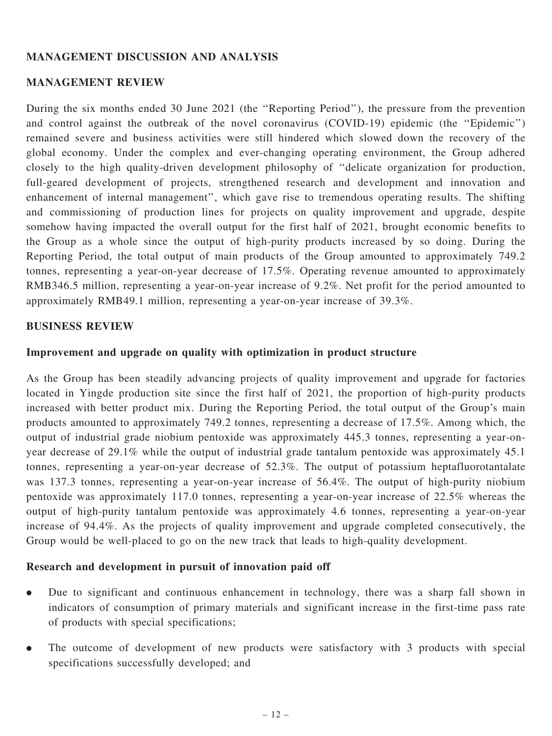## MANAGEMENT DISCUSSION AND ANALYSIS

## MANAGEMENT REVIEW

During the six months ended 30 June 2021 (the ''Reporting Period''), the pressure from the prevention and control against the outbreak of the novel coronavirus (COVID-19) epidemic (the ''Epidemic'') remained severe and business activities were still hindered which slowed down the recovery of the global economy. Under the complex and ever-changing operating environment, the Group adhered closely to the high quality-driven development philosophy of ''delicate organization for production, full-geared development of projects, strengthened research and development and innovation and enhancement of internal management'', which gave rise to tremendous operating results. The shifting and commissioning of production lines for projects on quality improvement and upgrade, despite somehow having impacted the overall output for the first half of 2021, brought economic benefits to the Group as a whole since the output of high-purity products increased by so doing. During the Reporting Period, the total output of main products of the Group amounted to approximately 749.2 tonnes, representing a year-on-year decrease of 17.5%. Operating revenue amounted to approximately RMB346.5 million, representing a year-on-year increase of 9.2%. Net profit for the period amounted to approximately RMB49.1 million, representing a year-on-year increase of 39.3%.

## BUSINESS REVIEW

## Improvement and upgrade on quality with optimization in product structure

As the Group has been steadily advancing projects of quality improvement and upgrade for factories located in Yingde production site since the first half of 2021, the proportion of high-purity products increased with better product mix. During the Reporting Period, the total output of the Group's main products amounted to approximately 749.2 tonnes, representing a decrease of 17.5%. Among which, the output of industrial grade niobium pentoxide was approximately 445.3 tonnes, representing a year-onyear decrease of 29.1% while the output of industrial grade tantalum pentoxide was approximately 45.1 tonnes, representing a year-on-year decrease of 52.3%. The output of potassium heptafluorotantalate was 137.3 tonnes, representing a year-on-year increase of 56.4%. The output of high-purity niobium pentoxide was approximately 117.0 tonnes, representing a year-on-year increase of 22.5% whereas the output of high-purity tantalum pentoxide was approximately 4.6 tonnes, representing a year-on-year increase of 94.4%. As the projects of quality improvement and upgrade completed consecutively, the Group would be well-placed to go on the new track that leads to high-quality development.

## Research and development in pursuit of innovation paid off

- . Due to significant and continuous enhancement in technology, there was a sharp fall shown in indicators of consumption of primary materials and significant increase in the first-time pass rate of products with special specifications;
- . The outcome of development of new products were satisfactory with 3 products with special specifications successfully developed; and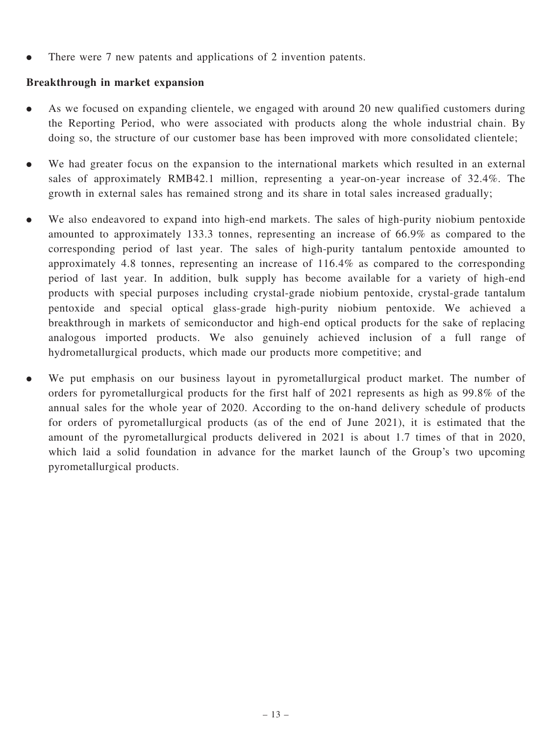. There were 7 new patents and applications of 2 invention patents.

## Breakthrough in market expansion

- . As we focused on expanding clientele, we engaged with around 20 new qualified customers during the Reporting Period, who were associated with products along the whole industrial chain. By doing so, the structure of our customer base has been improved with more consolidated clientele;
- . We had greater focus on the expansion to the international markets which resulted in an external sales of approximately RMB42.1 million, representing a year-on-year increase of 32.4%. The growth in external sales has remained strong and its share in total sales increased gradually;
- . We also endeavored to expand into high-end markets. The sales of high-purity niobium pentoxide amounted to approximately 133.3 tonnes, representing an increase of 66.9% as compared to the corresponding period of last year. The sales of high-purity tantalum pentoxide amounted to approximately 4.8 tonnes, representing an increase of 116.4% as compared to the corresponding period of last year. In addition, bulk supply has become available for a variety of high-end products with special purposes including crystal-grade niobium pentoxide, crystal-grade tantalum pentoxide and special optical glass-grade high-purity niobium pentoxide. We achieved a breakthrough in markets of semiconductor and high-end optical products for the sake of replacing analogous imported products. We also genuinely achieved inclusion of a full range of hydrometallurgical products, which made our products more competitive; and
- . We put emphasis on our business layout in pyrometallurgical product market. The number of orders for pyrometallurgical products for the first half of 2021 represents as high as 99.8% of the annual sales for the whole year of 2020. According to the on-hand delivery schedule of products for orders of pyrometallurgical products (as of the end of June 2021), it is estimated that the amount of the pyrometallurgical products delivered in 2021 is about 1.7 times of that in 2020, which laid a solid foundation in advance for the market launch of the Group's two upcoming pyrometallurgical products.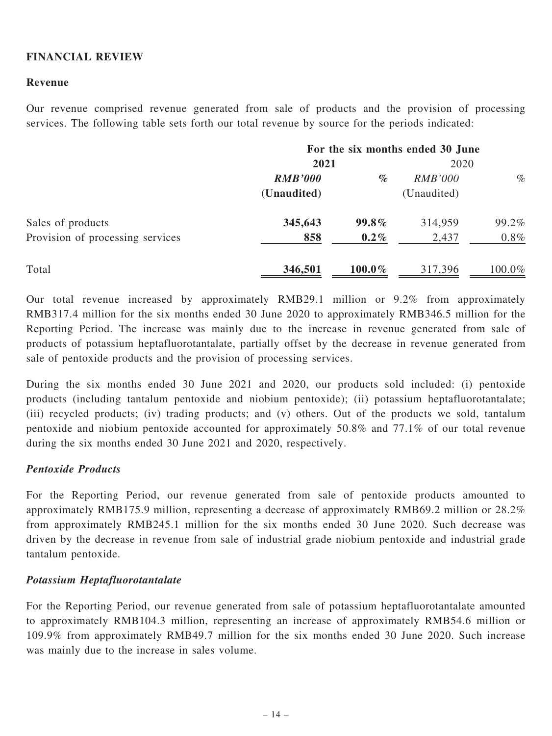## FINANCIAL REVIEW

#### Revenue

Our revenue comprised revenue generated from sale of products and the provision of processing services. The following table sets forth our total revenue by source for the periods indicated:

|                                  | For the six months ended 30 June |           |                |           |
|----------------------------------|----------------------------------|-----------|----------------|-----------|
|                                  | 2021                             |           | 2020           |           |
|                                  | <b>RMB'000</b>                   | $\%$      | <i>RMB'000</i> | $\%$      |
|                                  | (Unaudited)                      |           | (Unaudited)    |           |
| Sales of products                | 345,643                          | $99.8\%$  | 314,959        | 99.2%     |
| Provision of processing services | 858                              | $0.2\%$   | 2,437          | $0.8\%$   |
| Total                            | 346,501                          | $100.0\%$ | 317,396        | $100.0\%$ |

Our total revenue increased by approximately RMB29.1 million or 9.2% from approximately RMB317.4 million for the six months ended 30 June 2020 to approximately RMB346.5 million for the Reporting Period. The increase was mainly due to the increase in revenue generated from sale of products of potassium heptafluorotantalate, partially offset by the decrease in revenue generated from sale of pentoxide products and the provision of processing services.

During the six months ended 30 June 2021 and 2020, our products sold included: (i) pentoxide products (including tantalum pentoxide and niobium pentoxide); (ii) potassium heptafluorotantalate; (iii) recycled products; (iv) trading products; and (v) others. Out of the products we sold, tantalum pentoxide and niobium pentoxide accounted for approximately 50.8% and 77.1% of our total revenue during the six months ended 30 June 2021 and 2020, respectively.

## Pentoxide Products

For the Reporting Period, our revenue generated from sale of pentoxide products amounted to approximately RMB175.9 million, representing a decrease of approximately RMB69.2 million or 28.2% from approximately RMB245.1 million for the six months ended 30 June 2020. Such decrease was driven by the decrease in revenue from sale of industrial grade niobium pentoxide and industrial grade tantalum pentoxide.

## Potassium Heptafluorotantalate

For the Reporting Period, our revenue generated from sale of potassium heptafluorotantalate amounted to approximately RMB104.3 million, representing an increase of approximately RMB54.6 million or 109.9% from approximately RMB49.7 million for the six months ended 30 June 2020. Such increase was mainly due to the increase in sales volume.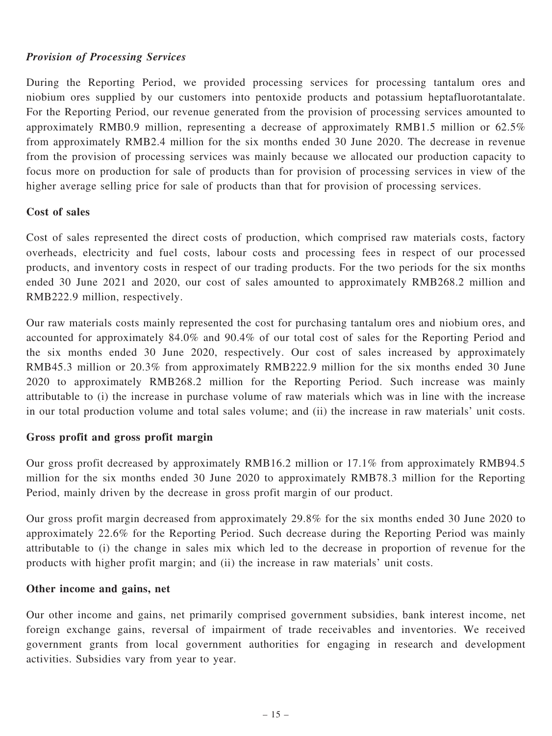## Provision of Processing Services

During the Reporting Period, we provided processing services for processing tantalum ores and niobium ores supplied by our customers into pentoxide products and potassium heptafluorotantalate. For the Reporting Period, our revenue generated from the provision of processing services amounted to approximately RMB0.9 million, representing a decrease of approximately RMB1.5 million or 62.5% from approximately RMB2.4 million for the six months ended 30 June 2020. The decrease in revenue from the provision of processing services was mainly because we allocated our production capacity to focus more on production for sale of products than for provision of processing services in view of the higher average selling price for sale of products than that for provision of processing services.

## Cost of sales

Cost of sales represented the direct costs of production, which comprised raw materials costs, factory overheads, electricity and fuel costs, labour costs and processing fees in respect of our processed products, and inventory costs in respect of our trading products. For the two periods for the six months ended 30 June 2021 and 2020, our cost of sales amounted to approximately RMB268.2 million and RMB222.9 million, respectively.

Our raw materials costs mainly represented the cost for purchasing tantalum ores and niobium ores, and accounted for approximately 84.0% and 90.4% of our total cost of sales for the Reporting Period and the six months ended 30 June 2020, respectively. Our cost of sales increased by approximately RMB45.3 million or 20.3% from approximately RMB222.9 million for the six months ended 30 June 2020 to approximately RMB268.2 million for the Reporting Period. Such increase was mainly attributable to (i) the increase in purchase volume of raw materials which was in line with the increase in our total production volume and total sales volume; and (ii) the increase in raw materials' unit costs.

## Gross profit and gross profit margin

Our gross profit decreased by approximately RMB16.2 million or 17.1% from approximately RMB94.5 million for the six months ended 30 June 2020 to approximately RMB78.3 million for the Reporting Period, mainly driven by the decrease in gross profit margin of our product.

Our gross profit margin decreased from approximately 29.8% for the six months ended 30 June 2020 to approximately 22.6% for the Reporting Period. Such decrease during the Reporting Period was mainly attributable to (i) the change in sales mix which led to the decrease in proportion of revenue for the products with higher profit margin; and (ii) the increase in raw materials' unit costs.

## Other income and gains, net

Our other income and gains, net primarily comprised government subsidies, bank interest income, net foreign exchange gains, reversal of impairment of trade receivables and inventories. We received government grants from local government authorities for engaging in research and development activities. Subsidies vary from year to year.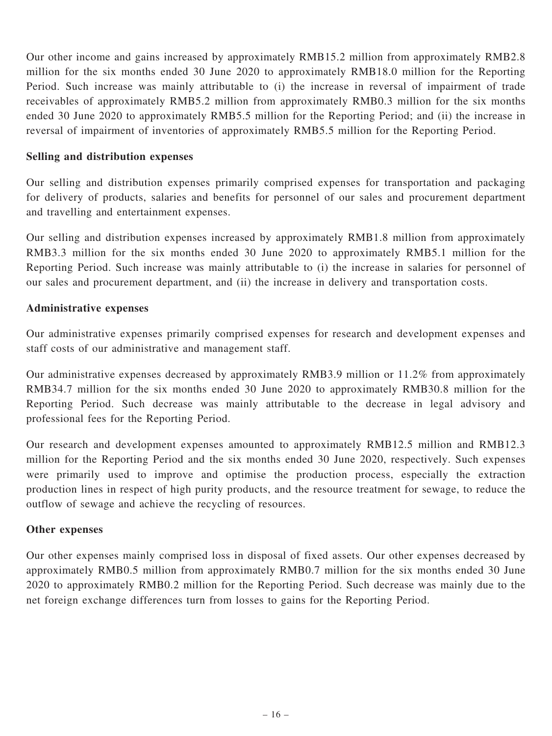Our other income and gains increased by approximately RMB15.2 million from approximately RMB2.8 million for the six months ended 30 June 2020 to approximately RMB18.0 million for the Reporting Period. Such increase was mainly attributable to (i) the increase in reversal of impairment of trade receivables of approximately RMB5.2 million from approximately RMB0.3 million for the six months ended 30 June 2020 to approximately RMB5.5 million for the Reporting Period; and (ii) the increase in reversal of impairment of inventories of approximately RMB5.5 million for the Reporting Period.

## Selling and distribution expenses

Our selling and distribution expenses primarily comprised expenses for transportation and packaging for delivery of products, salaries and benefits for personnel of our sales and procurement department and travelling and entertainment expenses.

Our selling and distribution expenses increased by approximately RMB1.8 million from approximately RMB3.3 million for the six months ended 30 June 2020 to approximately RMB5.1 million for the Reporting Period. Such increase was mainly attributable to (i) the increase in salaries for personnel of our sales and procurement department, and (ii) the increase in delivery and transportation costs.

## Administrative expenses

Our administrative expenses primarily comprised expenses for research and development expenses and staff costs of our administrative and management staff.

Our administrative expenses decreased by approximately RMB3.9 million or 11.2% from approximately RMB34.7 million for the six months ended 30 June 2020 to approximately RMB30.8 million for the Reporting Period. Such decrease was mainly attributable to the decrease in legal advisory and professional fees for the Reporting Period.

Our research and development expenses amounted to approximately RMB12.5 million and RMB12.3 million for the Reporting Period and the six months ended 30 June 2020, respectively. Such expenses were primarily used to improve and optimise the production process, especially the extraction production lines in respect of high purity products, and the resource treatment for sewage, to reduce the outflow of sewage and achieve the recycling of resources.

## Other expenses

Our other expenses mainly comprised loss in disposal of fixed assets. Our other expenses decreased by approximately RMB0.5 million from approximately RMB0.7 million for the six months ended 30 June 2020 to approximately RMB0.2 million for the Reporting Period. Such decrease was mainly due to the net foreign exchange differences turn from losses to gains for the Reporting Period.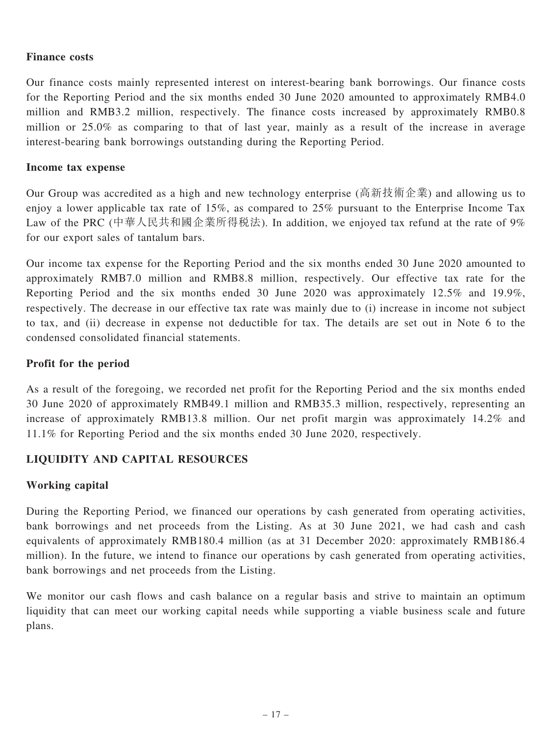## Finance costs

Our finance costs mainly represented interest on interest-bearing bank borrowings. Our finance costs for the Reporting Period and the six months ended 30 June 2020 amounted to approximately RMB4.0 million and RMB3.2 million, respectively. The finance costs increased by approximately RMB0.8 million or 25.0% as comparing to that of last year, mainly as a result of the increase in average interest-bearing bank borrowings outstanding during the Reporting Period.

## Income tax expense

Our Group was accredited as a high and new technology enterprise (高新技術企業) and allowing us to enjoy a lower applicable tax rate of 15%, as compared to 25% pursuant to the Enterprise Income Tax Law of the PRC (中華人民共和國企業所得稅法). In addition, we enjoyed tax refund at the rate of 9% for our export sales of tantalum bars.

Our income tax expense for the Reporting Period and the six months ended 30 June 2020 amounted to approximately RMB7.0 million and RMB8.8 million, respectively. Our effective tax rate for the Reporting Period and the six months ended 30 June 2020 was approximately 12.5% and 19.9%, respectively. The decrease in our effective tax rate was mainly due to (i) increase in income not subject to tax, and (ii) decrease in expense not deductible for tax. The details are set out in Note 6 to the condensed consolidated financial statements.

## Profit for the period

As a result of the foregoing, we recorded net profit for the Reporting Period and the six months ended 30 June 2020 of approximately RMB49.1 million and RMB35.3 million, respectively, representing an increase of approximately RMB13.8 million. Our net profit margin was approximately 14.2% and 11.1% for Reporting Period and the six months ended 30 June 2020, respectively.

## LIQUIDITY AND CAPITAL RESOURCES

## Working capital

During the Reporting Period, we financed our operations by cash generated from operating activities, bank borrowings and net proceeds from the Listing. As at 30 June 2021, we had cash and cash equivalents of approximately RMB180.4 million (as at 31 December 2020: approximately RMB186.4 million). In the future, we intend to finance our operations by cash generated from operating activities, bank borrowings and net proceeds from the Listing.

We monitor our cash flows and cash balance on a regular basis and strive to maintain an optimum liquidity that can meet our working capital needs while supporting a viable business scale and future plans.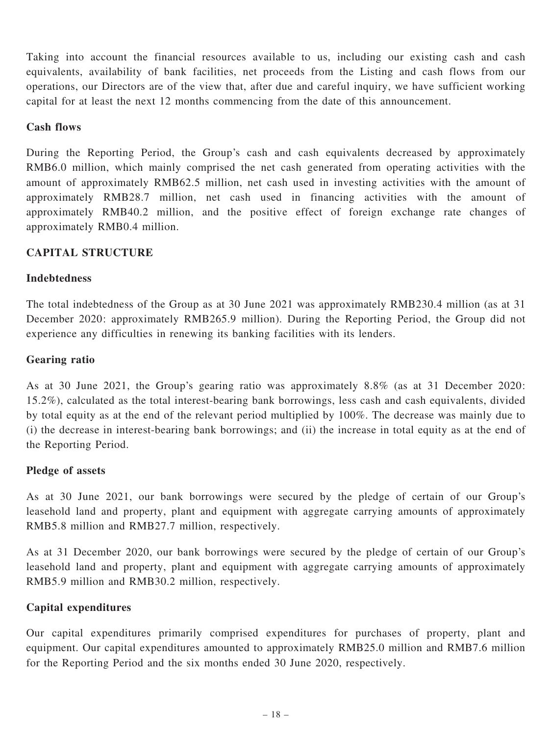Taking into account the financial resources available to us, including our existing cash and cash equivalents, availability of bank facilities, net proceeds from the Listing and cash flows from our operations, our Directors are of the view that, after due and careful inquiry, we have sufficient working capital for at least the next 12 months commencing from the date of this announcement.

## Cash flows

During the Reporting Period, the Group's cash and cash equivalents decreased by approximately RMB6.0 million, which mainly comprised the net cash generated from operating activities with the amount of approximately RMB62.5 million, net cash used in investing activities with the amount of approximately RMB28.7 million, net cash used in financing activities with the amount of approximately RMB40.2 million, and the positive effect of foreign exchange rate changes of approximately RMB0.4 million.

## CAPITAL STRUCTURE

## Indebtedness

The total indebtedness of the Group as at 30 June 2021 was approximately RMB230.4 million (as at 31 December 2020: approximately RMB265.9 million). During the Reporting Period, the Group did not experience any difficulties in renewing its banking facilities with its lenders.

## Gearing ratio

As at 30 June 2021, the Group's gearing ratio was approximately 8.8% (as at 31 December 2020: 15.2%), calculated as the total interest-bearing bank borrowings, less cash and cash equivalents, divided by total equity as at the end of the relevant period multiplied by 100%. The decrease was mainly due to (i) the decrease in interest-bearing bank borrowings; and (ii) the increase in total equity as at the end of the Reporting Period.

## Pledge of assets

As at 30 June 2021, our bank borrowings were secured by the pledge of certain of our Group's leasehold land and property, plant and equipment with aggregate carrying amounts of approximately RMB5.8 million and RMB27.7 million, respectively.

As at 31 December 2020, our bank borrowings were secured by the pledge of certain of our Group's leasehold land and property, plant and equipment with aggregate carrying amounts of approximately RMB5.9 million and RMB30.2 million, respectively.

## Capital expenditures

Our capital expenditures primarily comprised expenditures for purchases of property, plant and equipment. Our capital expenditures amounted to approximately RMB25.0 million and RMB7.6 million for the Reporting Period and the six months ended 30 June 2020, respectively.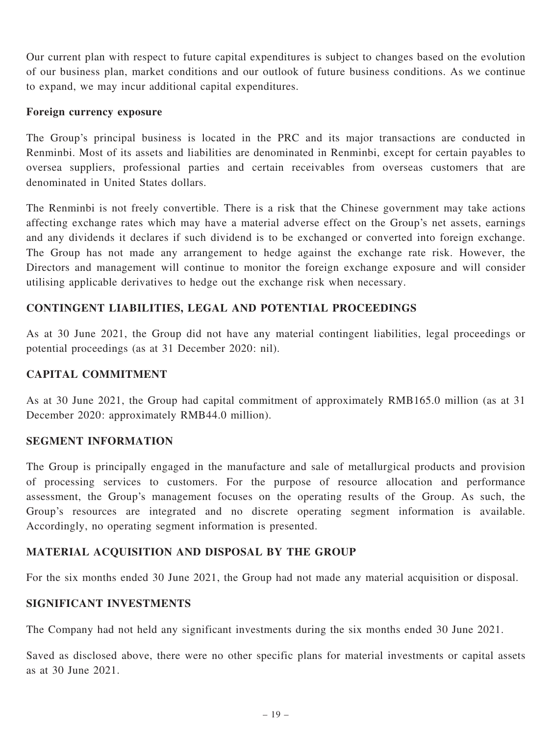Our current plan with respect to future capital expenditures is subject to changes based on the evolution of our business plan, market conditions and our outlook of future business conditions. As we continue to expand, we may incur additional capital expenditures.

#### Foreign currency exposure

The Group's principal business is located in the PRC and its major transactions are conducted in Renminbi. Most of its assets and liabilities are denominated in Renminbi, except for certain payables to oversea suppliers, professional parties and certain receivables from overseas customers that are denominated in United States dollars.

The Renminbi is not freely convertible. There is a risk that the Chinese government may take actions affecting exchange rates which may have a material adverse effect on the Group's net assets, earnings and any dividends it declares if such dividend is to be exchanged or converted into foreign exchange. The Group has not made any arrangement to hedge against the exchange rate risk. However, the Directors and management will continue to monitor the foreign exchange exposure and will consider utilising applicable derivatives to hedge out the exchange risk when necessary.

## CONTINGENT LIABILITIES, LEGAL AND POTENTIAL PROCEEDINGS

As at 30 June 2021, the Group did not have any material contingent liabilities, legal proceedings or potential proceedings (as at 31 December 2020: nil).

## CAPITAL COMMITMENT

As at 30 June 2021, the Group had capital commitment of approximately RMB165.0 million (as at 31 December 2020: approximately RMB44.0 million).

## SEGMENT INFORMATION

The Group is principally engaged in the manufacture and sale of metallurgical products and provision of processing services to customers. For the purpose of resource allocation and performance assessment, the Group's management focuses on the operating results of the Group. As such, the Group's resources are integrated and no discrete operating segment information is available. Accordingly, no operating segment information is presented.

## MATERIAL ACQUISITION AND DISPOSAL BY THE GROUP

For the six months ended 30 June 2021, the Group had not made any material acquisition or disposal.

## SIGNIFICANT INVESTMENTS

The Company had not held any significant investments during the six months ended 30 June 2021.

Saved as disclosed above, there were no other specific plans for material investments or capital assets as at 30 June 2021.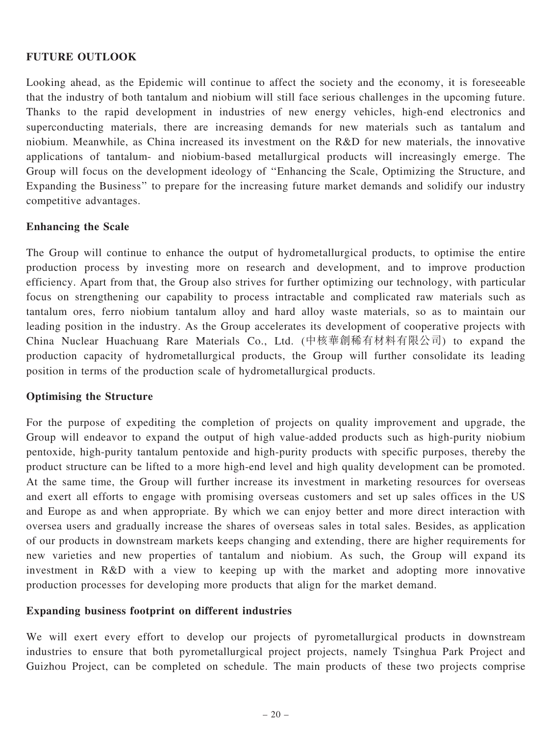## FUTURE OUTLOOK

Looking ahead, as the Epidemic will continue to affect the society and the economy, it is foreseeable that the industry of both tantalum and niobium will still face serious challenges in the upcoming future. Thanks to the rapid development in industries of new energy vehicles, high-end electronics and superconducting materials, there are increasing demands for new materials such as tantalum and niobium. Meanwhile, as China increased its investment on the R&D for new materials, the innovative applications of tantalum- and niobium-based metallurgical products will increasingly emerge. The Group will focus on the development ideology of ''Enhancing the Scale, Optimizing the Structure, and Expanding the Business'' to prepare for the increasing future market demands and solidify our industry competitive advantages.

## Enhancing the Scale

The Group will continue to enhance the output of hydrometallurgical products, to optimise the entire production process by investing more on research and development, and to improve production efficiency. Apart from that, the Group also strives for further optimizing our technology, with particular focus on strengthening our capability to process intractable and complicated raw materials such as tantalum ores, ferro niobium tantalum alloy and hard alloy waste materials, so as to maintain our leading position in the industry. As the Group accelerates its development of cooperative projects with China Nuclear Huachuang Rare Materials Co., Ltd. (中核華創稀有材料有限公司) to expand the production capacity of hydrometallurgical products, the Group will further consolidate its leading position in terms of the production scale of hydrometallurgical products.

## Optimising the Structure

For the purpose of expediting the completion of projects on quality improvement and upgrade, the Group will endeavor to expand the output of high value-added products such as high-purity niobium pentoxide, high-purity tantalum pentoxide and high-purity products with specific purposes, thereby the product structure can be lifted to a more high-end level and high quality development can be promoted. At the same time, the Group will further increase its investment in marketing resources for overseas and exert all efforts to engage with promising overseas customers and set up sales offices in the US and Europe as and when appropriate. By which we can enjoy better and more direct interaction with oversea users and gradually increase the shares of overseas sales in total sales. Besides, as application of our products in downstream markets keeps changing and extending, there are higher requirements for new varieties and new properties of tantalum and niobium. As such, the Group will expand its investment in R&D with a view to keeping up with the market and adopting more innovative production processes for developing more products that align for the market demand.

## Expanding business footprint on different industries

We will exert every effort to develop our projects of pyrometallurgical products in downstream industries to ensure that both pyrometallurgical project projects, namely Tsinghua Park Project and Guizhou Project, can be completed on schedule. The main products of these two projects comprise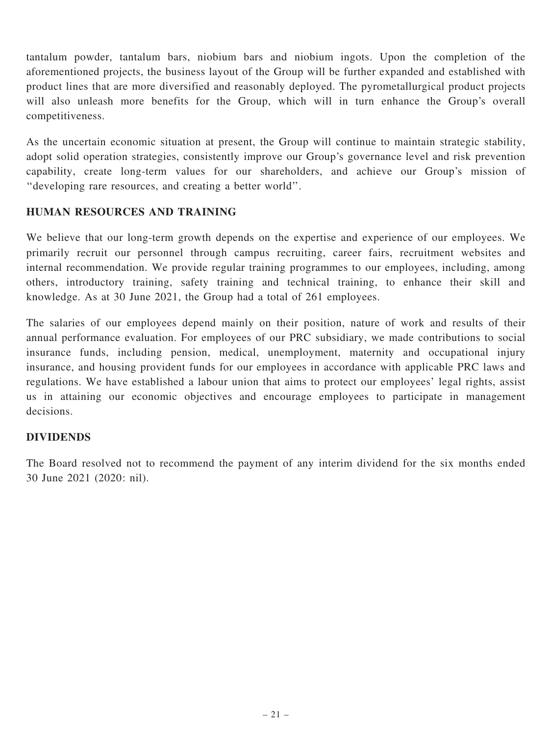tantalum powder, tantalum bars, niobium bars and niobium ingots. Upon the completion of the aforementioned projects, the business layout of the Group will be further expanded and established with product lines that are more diversified and reasonably deployed. The pyrometallurgical product projects will also unleash more benefits for the Group, which will in turn enhance the Group's overall competitiveness.

As the uncertain economic situation at present, the Group will continue to maintain strategic stability, adopt solid operation strategies, consistently improve our Group's governance level and risk prevention capability, create long-term values for our shareholders, and achieve our Group's mission of ''developing rare resources, and creating a better world''.

## HUMAN RESOURCES AND TRAINING

We believe that our long-term growth depends on the expertise and experience of our employees. We primarily recruit our personnel through campus recruiting, career fairs, recruitment websites and internal recommendation. We provide regular training programmes to our employees, including, among others, introductory training, safety training and technical training, to enhance their skill and knowledge. As at 30 June 2021, the Group had a total of 261 employees.

The salaries of our employees depend mainly on their position, nature of work and results of their annual performance evaluation. For employees of our PRC subsidiary, we made contributions to social insurance funds, including pension, medical, unemployment, maternity and occupational injury insurance, and housing provident funds for our employees in accordance with applicable PRC laws and regulations. We have established a labour union that aims to protect our employees' legal rights, assist us in attaining our economic objectives and encourage employees to participate in management decisions.

## DIVIDENDS

The Board resolved not to recommend the payment of any interim dividend for the six months ended 30 June 2021 (2020: nil).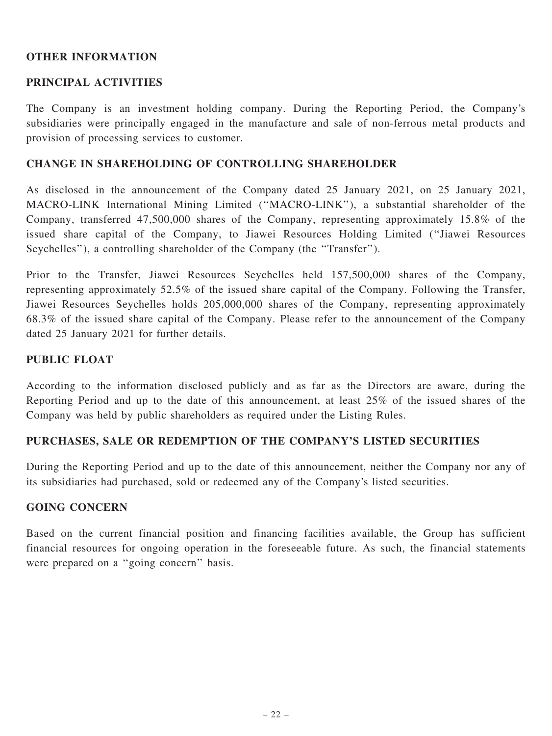## OTHER INFORMATION

## PRINCIPAL ACTIVITIES

The Company is an investment holding company. During the Reporting Period, the Company's subsidiaries were principally engaged in the manufacture and sale of non-ferrous metal products and provision of processing services to customer.

## CHANGE IN SHAREHOLDING OF CONTROLLING SHAREHOLDER

As disclosed in the announcement of the Company dated 25 January 2021, on 25 January 2021, MACRO-LINK International Mining Limited (''MACRO-LINK''), a substantial shareholder of the Company, transferred 47,500,000 shares of the Company, representing approximately 15.8% of the issued share capital of the Company, to Jiawei Resources Holding Limited (''Jiawei Resources Seychelles''), a controlling shareholder of the Company (the ''Transfer'').

Prior to the Transfer, Jiawei Resources Seychelles held 157,500,000 shares of the Company, representing approximately 52.5% of the issued share capital of the Company. Following the Transfer, Jiawei Resources Seychelles holds 205,000,000 shares of the Company, representing approximately 68.3% of the issued share capital of the Company. Please refer to the announcement of the Company dated 25 January 2021 for further details.

## PUBLIC FLOAT

According to the information disclosed publicly and as far as the Directors are aware, during the Reporting Period and up to the date of this announcement, at least 25% of the issued shares of the Company was held by public shareholders as required under the Listing Rules.

## PURCHASES, SALE OR REDEMPTION OF THE COMPANY'S LISTED SECURITIES

During the Reporting Period and up to the date of this announcement, neither the Company nor any of its subsidiaries had purchased, sold or redeemed any of the Company's listed securities.

## GOING CONCERN

Based on the current financial position and financing facilities available, the Group has sufficient financial resources for ongoing operation in the foreseeable future. As such, the financial statements were prepared on a "going concern" basis.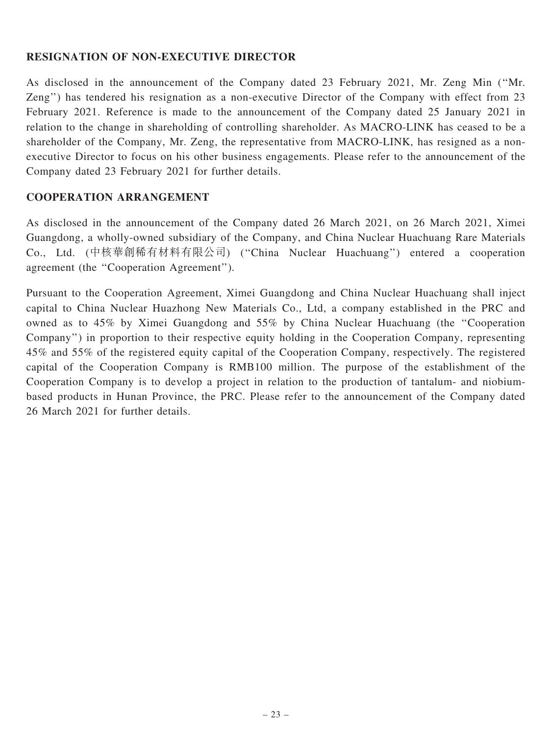## RESIGNATION OF NON-EXECUTIVE DIRECTOR

As disclosed in the announcement of the Company dated 23 February 2021, Mr. Zeng Min (''Mr. Zeng'') has tendered his resignation as a non-executive Director of the Company with effect from 23 February 2021. Reference is made to the announcement of the Company dated 25 January 2021 in relation to the change in shareholding of controlling shareholder. As MACRO-LINK has ceased to be a shareholder of the Company, Mr. Zeng, the representative from MACRO-LINK, has resigned as a nonexecutive Director to focus on his other business engagements. Please refer to the announcement of the Company dated 23 February 2021 for further details.

## COOPERATION ARRANGEMENT

As disclosed in the announcement of the Company dated 26 March 2021, on 26 March 2021, Ximei Guangdong, a wholly-owned subsidiary of the Company, and China Nuclear Huachuang Rare Materials Co., Ltd. (中核華創稀有材料有限公司) (''China Nuclear Huachuang'') entered a cooperation agreement (the ''Cooperation Agreement'').

Pursuant to the Cooperation Agreement, Ximei Guangdong and China Nuclear Huachuang shall inject capital to China Nuclear Huazhong New Materials Co., Ltd, a company established in the PRC and owned as to 45% by Ximei Guangdong and 55% by China Nuclear Huachuang (the ''Cooperation Company'') in proportion to their respective equity holding in the Cooperation Company, representing 45% and 55% of the registered equity capital of the Cooperation Company, respectively. The registered capital of the Cooperation Company is RMB100 million. The purpose of the establishment of the Cooperation Company is to develop a project in relation to the production of tantalum- and niobiumbased products in Hunan Province, the PRC. Please refer to the announcement of the Company dated 26 March 2021 for further details.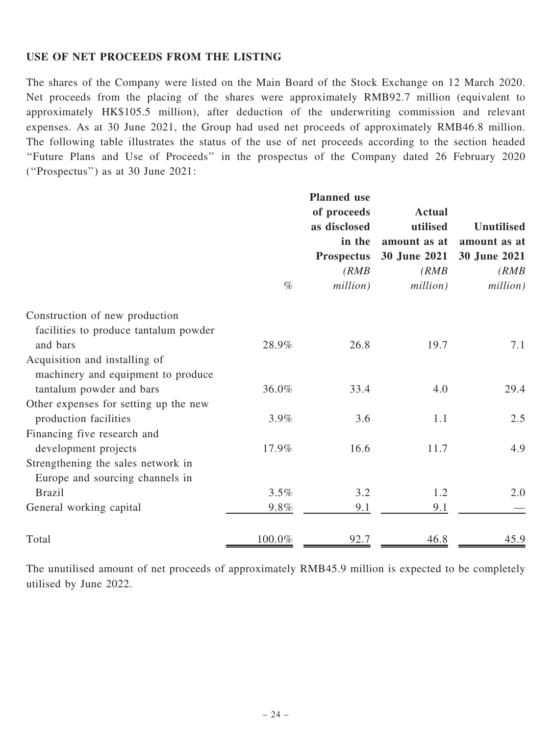## USE OF NET PROCEEDS FROM THE LISTING

The shares of the Company were listed on the Main Board of the Stock Exchange on 12 March 2020. Net proceeds from the placing of the shares were approximately RMB92.7 million (equivalent to approximately HK\$105.5 million), after deduction of the underwriting commission and relevant expenses. As at 30 June 2021, the Group had used net proceeds of approximately RMB46.8 million. The following table illustrates the status of the use of net proceeds according to the section headed ''Future Plans and Use of Proceeds'' in the prospectus of the Company dated 26 February 2020 (''Prospectus'') as at 30 June 2021:

|                                       | $\%$   | <b>Planned</b> use<br>of proceeds<br>as disclosed<br>in the<br><b>Prospectus</b><br>(RMB)<br>million) | <b>Actual</b><br>utilised<br>amount as at<br>30 June 2021<br>(RMB)<br>million) | <b>Unutilised</b><br>amount as at<br>30 June 2021<br>(RMB)<br>million) |
|---------------------------------------|--------|-------------------------------------------------------------------------------------------------------|--------------------------------------------------------------------------------|------------------------------------------------------------------------|
| Construction of new production        |        |                                                                                                       |                                                                                |                                                                        |
| facilities to produce tantalum powder |        |                                                                                                       |                                                                                |                                                                        |
| and bars                              | 28.9%  | 26.8                                                                                                  | 19.7                                                                           | 7.1                                                                    |
| Acquisition and installing of         |        |                                                                                                       |                                                                                |                                                                        |
| machinery and equipment to produce    |        |                                                                                                       |                                                                                |                                                                        |
| tantalum powder and bars              | 36.0%  | 33.4                                                                                                  | 4.0                                                                            | 29.4                                                                   |
| Other expenses for setting up the new |        |                                                                                                       |                                                                                |                                                                        |
| production facilities                 | 3.9%   | 3.6                                                                                                   | 1.1                                                                            | 2.5                                                                    |
| Financing five research and           |        |                                                                                                       |                                                                                |                                                                        |
| development projects                  | 17.9%  | 16.6                                                                                                  | 11.7                                                                           | 4.9                                                                    |
| Strengthening the sales network in    |        |                                                                                                       |                                                                                |                                                                        |
| Europe and sourcing channels in       |        |                                                                                                       |                                                                                |                                                                        |
| <b>Brazil</b>                         | 3.5%   | 3.2                                                                                                   | 1.2                                                                            | 2.0                                                                    |
| General working capital               | 9.8%   | 9.1                                                                                                   | 9.1                                                                            |                                                                        |
| Total                                 | 100.0% | 92.7                                                                                                  | 46.8                                                                           | 45.9                                                                   |

The unutilised amount of net proceeds of approximately RMB45.9 million is expected to be completely utilised by June 2022.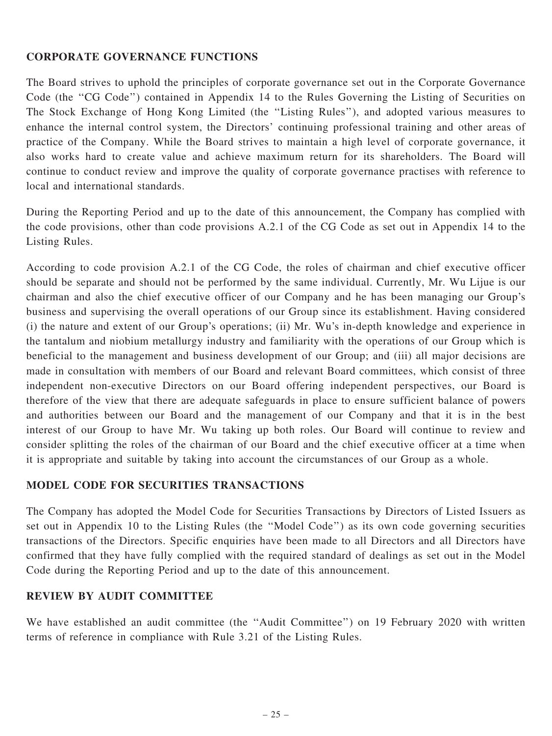## CORPORATE GOVERNANCE FUNCTIONS

The Board strives to uphold the principles of corporate governance set out in the Corporate Governance Code (the "CG Code") contained in Appendix 14 to the Rules Governing the Listing of Securities on The Stock Exchange of Hong Kong Limited (the ''Listing Rules''), and adopted various measures to enhance the internal control system, the Directors' continuing professional training and other areas of practice of the Company. While the Board strives to maintain a high level of corporate governance, it also works hard to create value and achieve maximum return for its shareholders. The Board will continue to conduct review and improve the quality of corporate governance practises with reference to local and international standards.

During the Reporting Period and up to the date of this announcement, the Company has complied with the code provisions, other than code provisions A.2.1 of the CG Code as set out in Appendix 14 to the Listing Rules.

According to code provision A.2.1 of the CG Code, the roles of chairman and chief executive officer should be separate and should not be performed by the same individual. Currently, Mr. Wu Lijue is our chairman and also the chief executive officer of our Company and he has been managing our Group's business and supervising the overall operations of our Group since its establishment. Having considered (i) the nature and extent of our Group's operations; (ii) Mr. Wu's in-depth knowledge and experience in the tantalum and niobium metallurgy industry and familiarity with the operations of our Group which is beneficial to the management and business development of our Group; and (iii) all major decisions are made in consultation with members of our Board and relevant Board committees, which consist of three independent non-executive Directors on our Board offering independent perspectives, our Board is therefore of the view that there are adequate safeguards in place to ensure sufficient balance of powers and authorities between our Board and the management of our Company and that it is in the best interest of our Group to have Mr. Wu taking up both roles. Our Board will continue to review and consider splitting the roles of the chairman of our Board and the chief executive officer at a time when it is appropriate and suitable by taking into account the circumstances of our Group as a whole.

## MODEL CODE FOR SECURITIES TRANSACTIONS

The Company has adopted the Model Code for Securities Transactions by Directors of Listed Issuers as set out in Appendix 10 to the Listing Rules (the ''Model Code'') as its own code governing securities transactions of the Directors. Specific enquiries have been made to all Directors and all Directors have confirmed that they have fully complied with the required standard of dealings as set out in the Model Code during the Reporting Period and up to the date of this announcement.

## REVIEW BY AUDIT COMMITTEE

We have established an audit committee (the "Audit Committee") on 19 February 2020 with written terms of reference in compliance with Rule 3.21 of the Listing Rules.